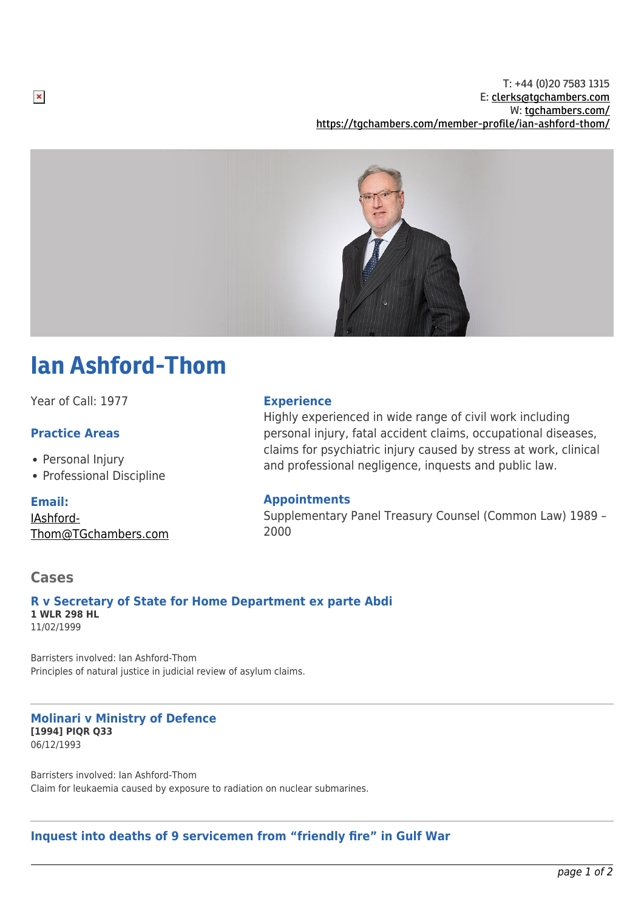T: +44 (0)20 7583 1315 E: [clerks@tgchambers.com](mailto:clerks@tgchambers.com) W: [tgchambers.com/](http://tgchambers.com/) <https://tgchambers.com/member-profile/ian-ashford-thom/>



# Ian Ashford-Thom

Year of Call: 1977

## **Practice Areas**

- Personal Injury
- Professional Discipline

**Email:**

[IAshford-](mailto:IAshford-Thom@TGchambers.com)[Thom@TGchambers.com](mailto:IAshford-Thom@TGchambers.com)

#### **Experience**

Highly experienced in wide range of civil work including personal injury, fatal accident claims, occupational diseases, claims for psychiatric injury caused by stress at work, clinical and professional negligence, inquests and public law.

## **Appointments**

Supplementary Panel Treasury Counsel (Common Law) 1989 – 2000

## **Cases**

#### **R v Secretary of State for Home Department ex parte Abdi 1 WLR 298 HL** 11/02/1999

Barristers involved: Ian Ashford-Thom Principles of natural justice in judicial review of asylum claims.

#### **Molinari v Ministry of Defence [1994] PIQR Q33** 06/12/1993

Barristers involved: Ian Ashford-Thom Claim for leukaemia caused by exposure to radiation on nuclear submarines.

#### **Inquest into deaths of 9 servicemen from "friendly fire" in Gulf War**